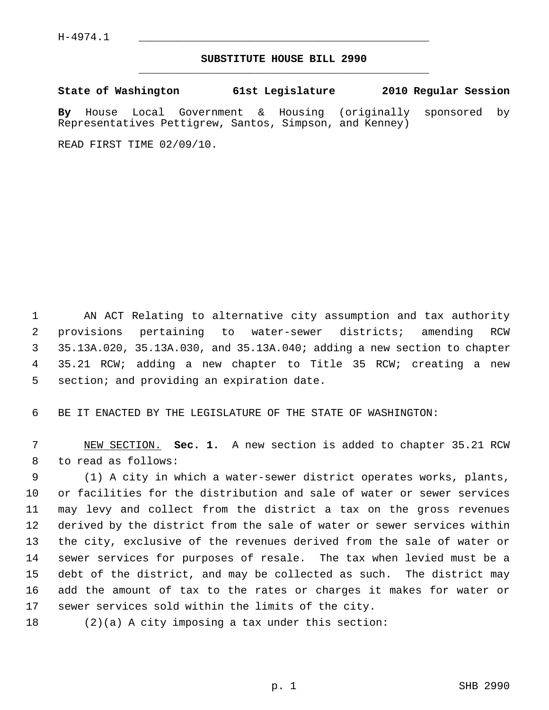## **SUBSTITUTE HOUSE BILL 2990** \_\_\_\_\_\_\_\_\_\_\_\_\_\_\_\_\_\_\_\_\_\_\_\_\_\_\_\_\_\_\_\_\_\_\_\_\_\_\_\_\_\_\_\_\_

**State of Washington 61st Legislature 2010 Regular Session**

**By** House Local Government & Housing (originally sponsored by Representatives Pettigrew, Santos, Simpson, and Kenney)

READ FIRST TIME 02/09/10.

 1 AN ACT Relating to alternative city assumption and tax authority 2 provisions pertaining to water-sewer districts; amending RCW 3 35.13A.020, 35.13A.030, and 35.13A.040; adding a new section to chapter 4 35.21 RCW; adding a new chapter to Title 35 RCW; creating a new 5 section; and providing an expiration date.

6 BE IT ENACTED BY THE LEGISLATURE OF THE STATE OF WASHINGTON:

 7 NEW SECTION. **Sec. 1.** A new section is added to chapter 35.21 RCW 8 to read as follows:

 9 (1) A city in which a water-sewer district operates works, plants, 10 or facilities for the distribution and sale of water or sewer services 11 may levy and collect from the district a tax on the gross revenues 12 derived by the district from the sale of water or sewer services within 13 the city, exclusive of the revenues derived from the sale of water or 14 sewer services for purposes of resale. The tax when levied must be a 15 debt of the district, and may be collected as such. The district may 16 add the amount of tax to the rates or charges it makes for water or 17 sewer services sold within the limits of the city.

18 (2)(a) A city imposing a tax under this section: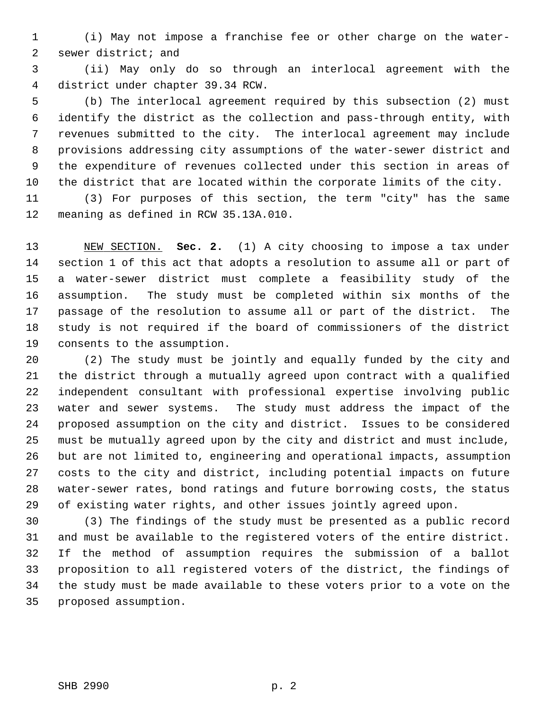1 (i) May not impose a franchise fee or other charge on the water- 2 sewer district; and

 3 (ii) May only do so through an interlocal agreement with the 4 district under chapter 39.34 RCW.

 5 (b) The interlocal agreement required by this subsection (2) must 6 identify the district as the collection and pass-through entity, with 7 revenues submitted to the city. The interlocal agreement may include 8 provisions addressing city assumptions of the water-sewer district and 9 the expenditure of revenues collected under this section in areas of 10 the district that are located within the corporate limits of the city.

11 (3) For purposes of this section, the term "city" has the same 12 meaning as defined in RCW 35.13A.010.

13 NEW SECTION. **Sec. 2.** (1) A city choosing to impose a tax under 14 section 1 of this act that adopts a resolution to assume all or part of 15 a water-sewer district must complete a feasibility study of the 16 assumption. The study must be completed within six months of the 17 passage of the resolution to assume all or part of the district. The 18 study is not required if the board of commissioners of the district 19 consents to the assumption.

20 (2) The study must be jointly and equally funded by the city and 21 the district through a mutually agreed upon contract with a qualified 22 independent consultant with professional expertise involving public 23 water and sewer systems. The study must address the impact of the 24 proposed assumption on the city and district. Issues to be considered 25 must be mutually agreed upon by the city and district and must include, 26 but are not limited to, engineering and operational impacts, assumption 27 costs to the city and district, including potential impacts on future 28 water-sewer rates, bond ratings and future borrowing costs, the status 29 of existing water rights, and other issues jointly agreed upon.

30 (3) The findings of the study must be presented as a public record 31 and must be available to the registered voters of the entire district. 32 If the method of assumption requires the submission of a ballot 33 proposition to all registered voters of the district, the findings of 34 the study must be made available to these voters prior to a vote on the 35 proposed assumption.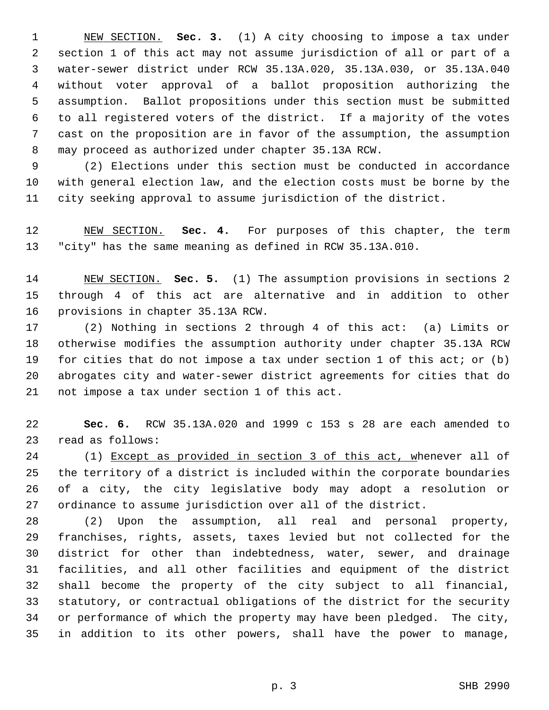1 NEW SECTION. **Sec. 3.** (1) A city choosing to impose a tax under 2 section 1 of this act may not assume jurisdiction of all or part of a 3 water-sewer district under RCW 35.13A.020, 35.13A.030, or 35.13A.040 4 without voter approval of a ballot proposition authorizing the 5 assumption. Ballot propositions under this section must be submitted 6 to all registered voters of the district. If a majority of the votes 7 cast on the proposition are in favor of the assumption, the assumption 8 may proceed as authorized under chapter 35.13A RCW.

 9 (2) Elections under this section must be conducted in accordance 10 with general election law, and the election costs must be borne by the 11 city seeking approval to assume jurisdiction of the district.

12 NEW SECTION. **Sec. 4.** For purposes of this chapter, the term 13 "city" has the same meaning as defined in RCW 35.13A.010.

14 NEW SECTION. **Sec. 5.** (1) The assumption provisions in sections 2 15 through 4 of this act are alternative and in addition to other 16 provisions in chapter 35.13A RCW.

17 (2) Nothing in sections 2 through 4 of this act: (a) Limits or 18 otherwise modifies the assumption authority under chapter 35.13A RCW 19 for cities that do not impose a tax under section 1 of this act; or (b) 20 abrogates city and water-sewer district agreements for cities that do 21 not impose a tax under section 1 of this act.

22 **Sec. 6.** RCW 35.13A.020 and 1999 c 153 s 28 are each amended to 23 read as follows:

24 (1) Except as provided in section 3 of this act, whenever all of 25 the territory of a district is included within the corporate boundaries 26 of a city, the city legislative body may adopt a resolution or 27 ordinance to assume jurisdiction over all of the district.

28 (2) Upon the assumption, all real and personal property, 29 franchises, rights, assets, taxes levied but not collected for the 30 district for other than indebtedness, water, sewer, and drainage 31 facilities, and all other facilities and equipment of the district 32 shall become the property of the city subject to all financial, 33 statutory, or contractual obligations of the district for the security 34 or performance of which the property may have been pledged. The city, 35 in addition to its other powers, shall have the power to manage,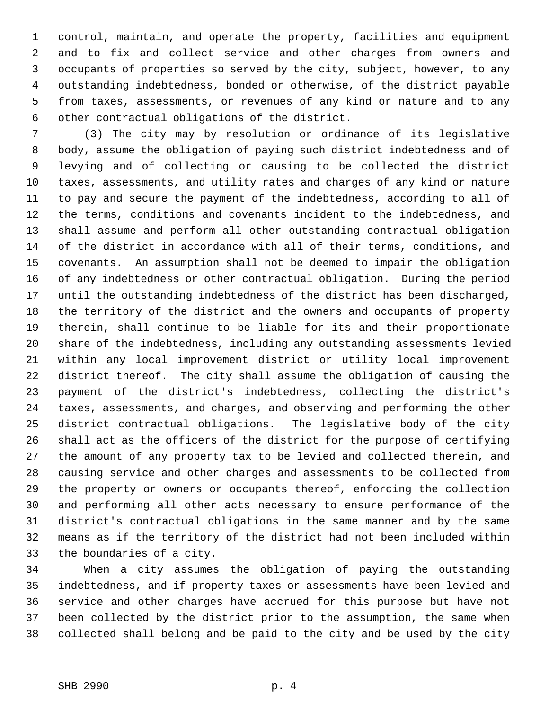1 control, maintain, and operate the property, facilities and equipment 2 and to fix and collect service and other charges from owners and 3 occupants of properties so served by the city, subject, however, to any 4 outstanding indebtedness, bonded or otherwise, of the district payable 5 from taxes, assessments, or revenues of any kind or nature and to any 6 other contractual obligations of the district.

 7 (3) The city may by resolution or ordinance of its legislative 8 body, assume the obligation of paying such district indebtedness and of 9 levying and of collecting or causing to be collected the district 10 taxes, assessments, and utility rates and charges of any kind or nature 11 to pay and secure the payment of the indebtedness, according to all of 12 the terms, conditions and covenants incident to the indebtedness, and 13 shall assume and perform all other outstanding contractual obligation 14 of the district in accordance with all of their terms, conditions, and 15 covenants. An assumption shall not be deemed to impair the obligation 16 of any indebtedness or other contractual obligation. During the period 17 until the outstanding indebtedness of the district has been discharged, 18 the territory of the district and the owners and occupants of property 19 therein, shall continue to be liable for its and their proportionate 20 share of the indebtedness, including any outstanding assessments levied 21 within any local improvement district or utility local improvement 22 district thereof. The city shall assume the obligation of causing the 23 payment of the district's indebtedness, collecting the district's 24 taxes, assessments, and charges, and observing and performing the other 25 district contractual obligations. The legislative body of the city 26 shall act as the officers of the district for the purpose of certifying 27 the amount of any property tax to be levied and collected therein, and 28 causing service and other charges and assessments to be collected from 29 the property or owners or occupants thereof, enforcing the collection 30 and performing all other acts necessary to ensure performance of the 31 district's contractual obligations in the same manner and by the same 32 means as if the territory of the district had not been included within 33 the boundaries of a city.

34 When a city assumes the obligation of paying the outstanding 35 indebtedness, and if property taxes or assessments have been levied and 36 service and other charges have accrued for this purpose but have not 37 been collected by the district prior to the assumption, the same when 38 collected shall belong and be paid to the city and be used by the city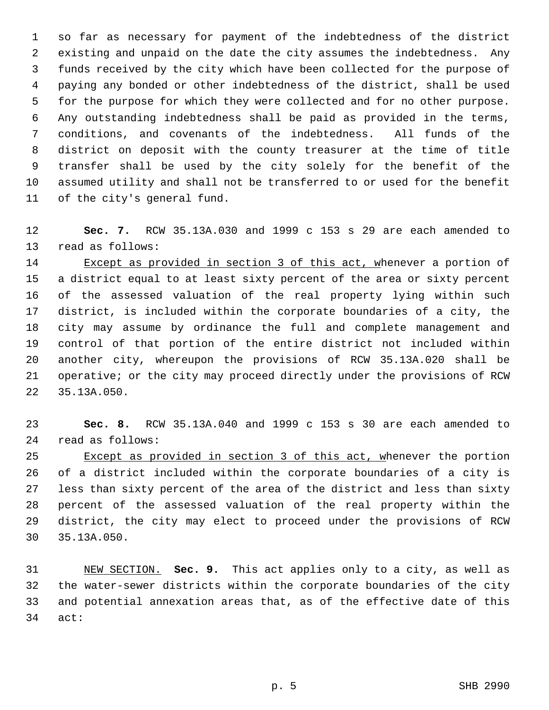1 so far as necessary for payment of the indebtedness of the district 2 existing and unpaid on the date the city assumes the indebtedness. Any 3 funds received by the city which have been collected for the purpose of 4 paying any bonded or other indebtedness of the district, shall be used 5 for the purpose for which they were collected and for no other purpose. 6 Any outstanding indebtedness shall be paid as provided in the terms, 7 conditions, and covenants of the indebtedness. All funds of the 8 district on deposit with the county treasurer at the time of title 9 transfer shall be used by the city solely for the benefit of the 10 assumed utility and shall not be transferred to or used for the benefit 11 of the city's general fund.

12 **Sec. 7.** RCW 35.13A.030 and 1999 c 153 s 29 are each amended to 13 read as follows:

14 Except as provided in section 3 of this act, whenever a portion of 15 a district equal to at least sixty percent of the area or sixty percent 16 of the assessed valuation of the real property lying within such 17 district, is included within the corporate boundaries of a city, the 18 city may assume by ordinance the full and complete management and 19 control of that portion of the entire district not included within 20 another city, whereupon the provisions of RCW 35.13A.020 shall be 21 operative; or the city may proceed directly under the provisions of RCW 22 35.13A.050.

23 **Sec. 8.** RCW 35.13A.040 and 1999 c 153 s 30 are each amended to 24 read as follows:

25 Except as provided in section 3 of this act, whenever the portion 26 of a district included within the corporate boundaries of a city is 27 less than sixty percent of the area of the district and less than sixty 28 percent of the assessed valuation of the real property within the 29 district, the city may elect to proceed under the provisions of RCW 30 35.13A.050.

31 NEW SECTION. **Sec. 9.** This act applies only to a city, as well as 32 the water-sewer districts within the corporate boundaries of the city 33 and potential annexation areas that, as of the effective date of this 34 act: